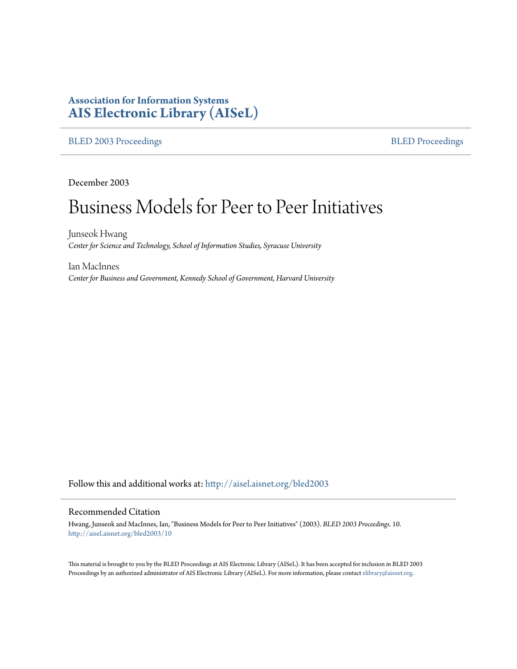## **Association for Information Systems [AIS Electronic Library \(AISeL\)](http://aisel.aisnet.org?utm_source=aisel.aisnet.org%2Fbled2003%2F10&utm_medium=PDF&utm_campaign=PDFCoverPages)**

#### [BLED 2003 Proceedings](http://aisel.aisnet.org/bled2003?utm_source=aisel.aisnet.org%2Fbled2003%2F10&utm_medium=PDF&utm_campaign=PDFCoverPages) **[BLED Proceedings](http://aisel.aisnet.org/bled?utm_source=aisel.aisnet.org%2Fbled2003%2F10&utm_medium=PDF&utm_campaign=PDFCoverPages)**

December 2003

# Business Models for Peer to Peer Initiatives

Junseok Hwang *Center for Science and Technology, School of Information Studies, Syracuse University*

Ian MacInnes *Center for Business and Government, Kennedy School of Government, Harvard University*

Follow this and additional works at: [http://aisel.aisnet.org/bled2003](http://aisel.aisnet.org/bled2003?utm_source=aisel.aisnet.org%2Fbled2003%2F10&utm_medium=PDF&utm_campaign=PDFCoverPages)

#### Recommended Citation

Hwang, Junseok and MacInnes, Ian, "Business Models for Peer to Peer Initiatives" (2003). *BLED 2003 Proceedings*. 10. [http://aisel.aisnet.org/bled2003/10](http://aisel.aisnet.org/bled2003/10?utm_source=aisel.aisnet.org%2Fbled2003%2F10&utm_medium=PDF&utm_campaign=PDFCoverPages)

This material is brought to you by the BLED Proceedings at AIS Electronic Library (AISeL). It has been accepted for inclusion in BLED 2003 Proceedings by an authorized administrator of AIS Electronic Library (AISeL). For more information, please contact [elibrary@aisnet.org](mailto:elibrary@aisnet.org%3E).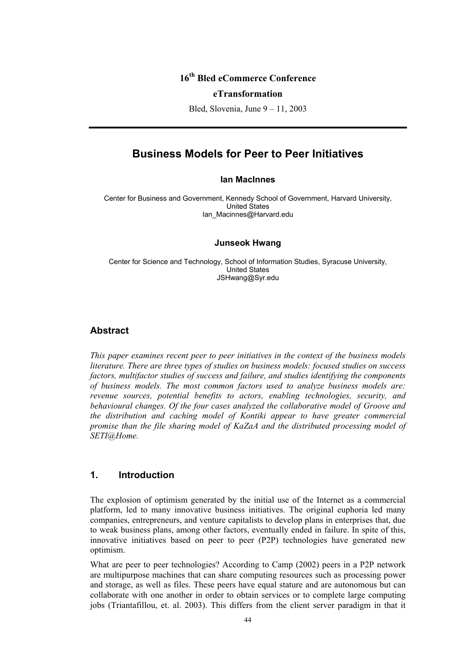## **16th Bled eCommerce Conference**

#### **eTransformation**

Bled, Slovenia, June 9 – 11, 2003

## **Business Models for Peer to Peer Initiatives**

#### **Ian MacInnes**

Center for Business and Government, Kennedy School of Government, Harvard University, United States Ian\_Macinnes@Harvard.edu

#### **Junseok Hwang**

Center for Science and Technology, School of Information Studies, Syracuse University, United States JSHwang@Syr.edu

#### **Abstract**

*This paper examines recent peer to peer initiatives in the context of the business models literature. There are three types of studies on business models: focused studies on success factors, multifactor studies of success and failure, and studies identifying the components of business models. The most common factors used to analyze business models are: revenue sources, potential benefits to actors, enabling technologies, security, and behavioural changes. Of the four cases analyzed the collaborative model of Groove and the distribution and caching model of Kontiki appear to have greater commercial promise than the file sharing model of KaZaA and the distributed processing model of SETI@Home.* 

## **1. Introduction**

The explosion of optimism generated by the initial use of the Internet as a commercial platform, led to many innovative business initiatives. The original euphoria led many companies, entrepreneurs, and venture capitalists to develop plans in enterprises that, due to weak business plans, among other factors, eventually ended in failure. In spite of this, innovative initiatives based on peer to peer (P2P) technologies have generated new optimism.

What are peer to peer technologies? According to Camp (2002) peers in a P2P network are multipurpose machines that can share computing resources such as processing power and storage, as well as files. These peers have equal stature and are autonomous but can collaborate with one another in order to obtain services or to complete large computing jobs (Triantafillou, et. al. 2003). This differs from the client server paradigm in that it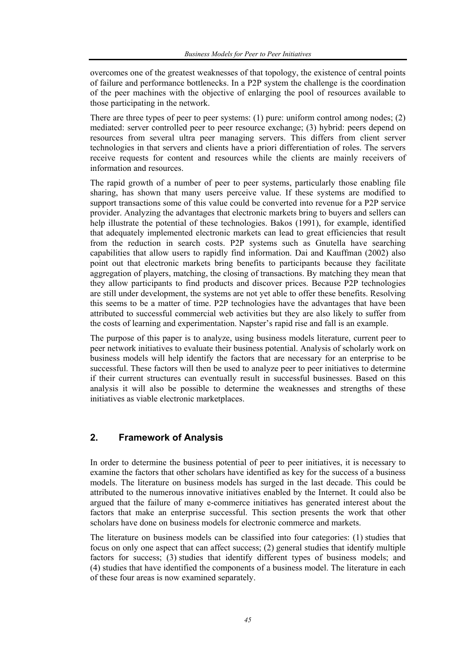overcomes one of the greatest weaknesses of that topology, the existence of central points of failure and performance bottlenecks. In a P2P system the challenge is the coordination of the peer machines with the objective of enlarging the pool of resources available to those participating in the network.

There are three types of peer to peer systems: (1) pure: uniform control among nodes; (2) mediated: server controlled peer to peer resource exchange; (3) hybrid: peers depend on resources from several ultra peer managing servers. This differs from client server technologies in that servers and clients have a priori differentiation of roles. The servers receive requests for content and resources while the clients are mainly receivers of information and resources.

The rapid growth of a number of peer to peer systems, particularly those enabling file sharing, has shown that many users perceive value. If these systems are modified to support transactions some of this value could be converted into revenue for a P2P service provider. Analyzing the advantages that electronic markets bring to buyers and sellers can help illustrate the potential of these technologies. Bakos (1991), for example, identified that adequately implemented electronic markets can lead to great efficiencies that result from the reduction in search costs. P2P systems such as Gnutella have searching capabilities that allow users to rapidly find information. Dai and Kauffman (2002) also point out that electronic markets bring benefits to participants because they facilitate aggregation of players, matching, the closing of transactions. By matching they mean that they allow participants to find products and discover prices. Because P2P technologies are still under development, the systems are not yet able to offer these benefits. Resolving this seems to be a matter of time. P2P technologies have the advantages that have been attributed to successful commercial web activities but they are also likely to suffer from the costs of learning and experimentation. Napster's rapid rise and fall is an example.

The purpose of this paper is to analyze, using business models literature, current peer to peer network initiatives to evaluate their business potential. Analysis of scholarly work on business models will help identify the factors that are necessary for an enterprise to be successful. These factors will then be used to analyze peer to peer initiatives to determine if their current structures can eventually result in successful businesses. Based on this analysis it will also be possible to determine the weaknesses and strengths of these initiatives as viable electronic marketplaces.

## **2. Framework of Analysis**

In order to determine the business potential of peer to peer initiatives, it is necessary to examine the factors that other scholars have identified as key for the success of a business models. The literature on business models has surged in the last decade. This could be attributed to the numerous innovative initiatives enabled by the Internet. It could also be argued that the failure of many e-commerce initiatives has generated interest about the factors that make an enterprise successful. This section presents the work that other scholars have done on business models for electronic commerce and markets.

The literature on business models can be classified into four categories: (1) studies that focus on only one aspect that can affect success; (2) general studies that identify multiple factors for success; (3) studies that identify different types of business models; and (4) studies that have identified the components of a business model. The literature in each of these four areas is now examined separately.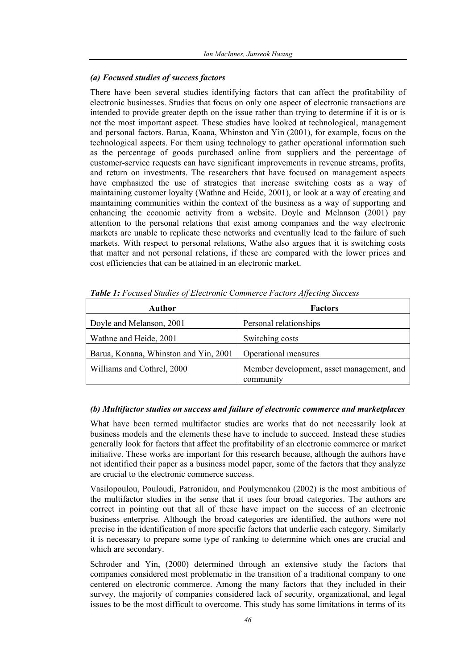#### *(a) Focused studies of success factors*

There have been several studies identifying factors that can affect the profitability of electronic businesses. Studies that focus on only one aspect of electronic transactions are intended to provide greater depth on the issue rather than trying to determine if it is or is not the most important aspect. These studies have looked at technological, management and personal factors. Barua, Koana, Whinston and Yin (2001), for example, focus on the technological aspects. For them using technology to gather operational information such as the percentage of goods purchased online from suppliers and the percentage of customer-service requests can have significant improvements in revenue streams, profits, and return on investments. The researchers that have focused on management aspects have emphasized the use of strategies that increase switching costs as a way of maintaining customer loyalty (Wathne and Heide, 2001), or look at a way of creating and maintaining communities within the context of the business as a way of supporting and enhancing the economic activity from a website. Doyle and Melanson (2001) pay attention to the personal relations that exist among companies and the way electronic markets are unable to replicate these networks and eventually lead to the failure of such markets. With respect to personal relations, Wathe also argues that it is switching costs that matter and not personal relations, if these are compared with the lower prices and cost efficiencies that can be attained in an electronic market.

| Author                                | <b>Factors</b>                                         |  |  |
|---------------------------------------|--------------------------------------------------------|--|--|
| Doyle and Melanson, 2001              | Personal relationships                                 |  |  |
| Wathne and Heide, 2001                | Switching costs                                        |  |  |
| Barua, Konana, Whinston and Yin, 2001 | Operational measures                                   |  |  |
| Williams and Cothrel, 2000            | Member development, asset management, and<br>community |  |  |

*Table 1: Focused Studies of Electronic Commerce Factors Affecting Success* 

#### *(b) Multifactor studies on success and failure of electronic commerce and marketplaces*

What have been termed multifactor studies are works that do not necessarily look at business models and the elements these have to include to succeed. Instead these studies generally look for factors that affect the profitability of an electronic commerce or market initiative. These works are important for this research because, although the authors have not identified their paper as a business model paper, some of the factors that they analyze are crucial to the electronic commerce success.

Vasilopoulou, Pouloudi, Patronidou, and Poulymenakou (2002) is the most ambitious of the multifactor studies in the sense that it uses four broad categories. The authors are correct in pointing out that all of these have impact on the success of an electronic business enterprise. Although the broad categories are identified, the authors were not precise in the identification of more specific factors that underlie each category. Similarly it is necessary to prepare some type of ranking to determine which ones are crucial and which are secondary.

Schroder and Yin, (2000) determined through an extensive study the factors that companies considered most problematic in the transition of a traditional company to one centered on electronic commerce. Among the many factors that they included in their survey, the majority of companies considered lack of security, organizational, and legal issues to be the most difficult to overcome. This study has some limitations in terms of its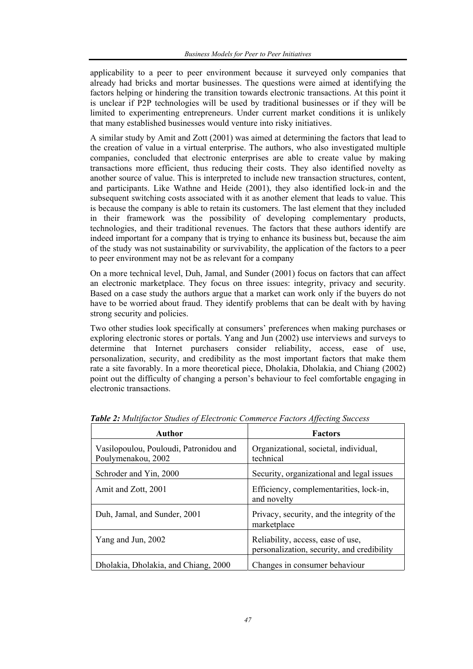applicability to a peer to peer environment because it surveyed only companies that already had bricks and mortar businesses. The questions were aimed at identifying the factors helping or hindering the transition towards electronic transactions. At this point it is unclear if P2P technologies will be used by traditional businesses or if they will be limited to experimenting entrepreneurs. Under current market conditions it is unlikely that many established businesses would venture into risky initiatives.

A similar study by Amit and Zott (2001) was aimed at determining the factors that lead to the creation of value in a virtual enterprise. The authors, who also investigated multiple companies, concluded that electronic enterprises are able to create value by making transactions more efficient, thus reducing their costs. They also identified novelty as another source of value. This is interpreted to include new transaction structures, content, and participants. Like Wathne and Heide (2001), they also identified lock-in and the subsequent switching costs associated with it as another element that leads to value. This is because the company is able to retain its customers. The last element that they included in their framework was the possibility of developing complementary products, technologies, and their traditional revenues. The factors that these authors identify are indeed important for a company that is trying to enhance its business but, because the aim of the study was not sustainability or survivability, the application of the factors to a peer to peer environment may not be as relevant for a company

On a more technical level, Duh, Jamal, and Sunder (2001) focus on factors that can affect an electronic marketplace. They focus on three issues: integrity, privacy and security. Based on a case study the authors argue that a market can work only if the buyers do not have to be worried about fraud. They identify problems that can be dealt with by having strong security and policies.

Two other studies look specifically at consumers' preferences when making purchases or exploring electronic stores or portals. Yang and Jun (2002) use interviews and surveys to determine that Internet purchasers consider reliability, access, ease of use, personalization, security, and credibility as the most important factors that make them rate a site favorably. In a more theoretical piece, Dholakia, Dholakia, and Chiang (2002) point out the difficulty of changing a person's behaviour to feel comfortable engaging in electronic transactions.

| Author                                                       | <b>Factors</b>                                                                  |
|--------------------------------------------------------------|---------------------------------------------------------------------------------|
| Vasilopoulou, Pouloudi, Patronidou and<br>Poulymenakou, 2002 | Organizational, societal, individual,<br>technical                              |
| Schroder and Yin, 2000                                       | Security, organizational and legal issues                                       |
| Amit and Zott, 2001                                          | Efficiency, complementarities, lock-in,<br>and novelty                          |
| Duh, Jamal, and Sunder, 2001                                 | Privacy, security, and the integrity of the<br>marketplace                      |
| Yang and Jun, 2002                                           | Reliability, access, ease of use,<br>personalization, security, and credibility |
| Dholakia, Dholakia, and Chiang, 2000                         | Changes in consumer behaviour                                                   |

*Table 2: Multifactor Studies of Electronic Commerce Factors Affecting Success*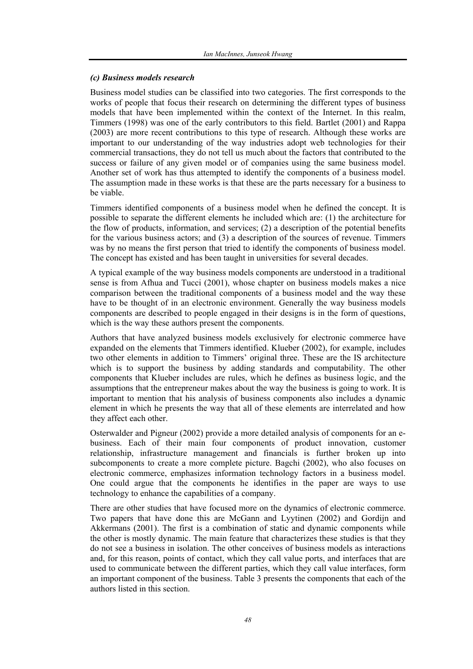#### *(c) Business models research*

Business model studies can be classified into two categories. The first corresponds to the works of people that focus their research on determining the different types of business models that have been implemented within the context of the Internet. In this realm, Timmers (1998) was one of the early contributors to this field. Bartlet (2001) and Rappa (2003) are more recent contributions to this type of research. Although these works are important to our understanding of the way industries adopt web technologies for their commercial transactions, they do not tell us much about the factors that contributed to the success or failure of any given model or of companies using the same business model. Another set of work has thus attempted to identify the components of a business model. The assumption made in these works is that these are the parts necessary for a business to be viable.

Timmers identified components of a business model when he defined the concept. It is possible to separate the different elements he included which are: (1) the architecture for the flow of products, information, and services; (2) a description of the potential benefits for the various business actors; and (3) a description of the sources of revenue. Timmers was by no means the first person that tried to identify the components of business model. The concept has existed and has been taught in universities for several decades.

A typical example of the way business models components are understood in a traditional sense is from Afhua and Tucci (2001), whose chapter on business models makes a nice comparison between the traditional components of a business model and the way these have to be thought of in an electronic environment. Generally the way business models components are described to people engaged in their designs is in the form of questions, which is the way these authors present the components.

Authors that have analyzed business models exclusively for electronic commerce have expanded on the elements that Timmers identified. Klueber (2002), for example, includes two other elements in addition to Timmers' original three. These are the IS architecture which is to support the business by adding standards and computability. The other components that Klueber includes are rules, which he defines as business logic, and the assumptions that the entrepreneur makes about the way the business is going to work. It is important to mention that his analysis of business components also includes a dynamic element in which he presents the way that all of these elements are interrelated and how they affect each other.

Osterwalder and Pigneur (2002) provide a more detailed analysis of components for an ebusiness. Each of their main four components of product innovation, customer relationship, infrastructure management and financials is further broken up into subcomponents to create a more complete picture. Bagchi (2002), who also focuses on electronic commerce, emphasizes information technology factors in a business model. One could argue that the components he identifies in the paper are ways to use technology to enhance the capabilities of a company.

There are other studies that have focused more on the dynamics of electronic commerce. Two papers that have done this are McGann and Lyytinen (2002) and Gordijn and Akkermans (2001). The first is a combination of static and dynamic components while the other is mostly dynamic. The main feature that characterizes these studies is that they do not see a business in isolation. The other conceives of business models as interactions and, for this reason, points of contact, which they call value ports, and interfaces that are used to communicate between the different parties, which they call value interfaces, form an important component of the business. Table 3 presents the components that each of the authors listed in this section.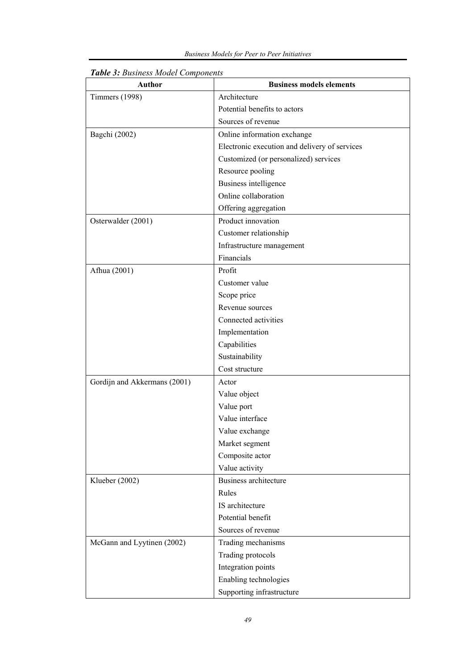| <b>Author</b>                | <b>Business models elements</b>               |  |  |
|------------------------------|-----------------------------------------------|--|--|
| <b>Timmers</b> (1998)        | Architecture                                  |  |  |
|                              | Potential benefits to actors                  |  |  |
|                              | Sources of revenue                            |  |  |
| Bagchi (2002)                | Online information exchange                   |  |  |
|                              | Electronic execution and delivery of services |  |  |
|                              | Customized (or personalized) services         |  |  |
|                              | Resource pooling                              |  |  |
|                              | Business intelligence                         |  |  |
|                              | Online collaboration                          |  |  |
|                              | Offering aggregation                          |  |  |
| Osterwalder (2001)           | Product innovation                            |  |  |
|                              | Customer relationship                         |  |  |
|                              | Infrastructure management                     |  |  |
|                              | Financials                                    |  |  |
| Afhua (2001)                 | Profit                                        |  |  |
|                              | Customer value                                |  |  |
|                              | Scope price                                   |  |  |
|                              | Revenue sources                               |  |  |
|                              | Connected activities                          |  |  |
|                              | Implementation                                |  |  |
|                              | Capabilities                                  |  |  |
|                              | Sustainability                                |  |  |
|                              | Cost structure                                |  |  |
| Gordijn and Akkermans (2001) | Actor                                         |  |  |
|                              | Value object                                  |  |  |
|                              | Value port                                    |  |  |
|                              | Value interface                               |  |  |
|                              | Value exchange                                |  |  |
|                              | Market segment                                |  |  |
|                              | Composite actor                               |  |  |
|                              | Value activity                                |  |  |
| Klueber (2002)               | Business architecture                         |  |  |
|                              | Rules                                         |  |  |
|                              | IS architecture                               |  |  |
|                              | Potential benefit                             |  |  |
|                              | Sources of revenue                            |  |  |
| McGann and Lyytinen (2002)   | Trading mechanisms                            |  |  |
|                              | Trading protocols                             |  |  |
|                              | Integration points                            |  |  |
|                              | Enabling technologies                         |  |  |
|                              | Supporting infrastructure                     |  |  |

*Table 3: Business Model Components*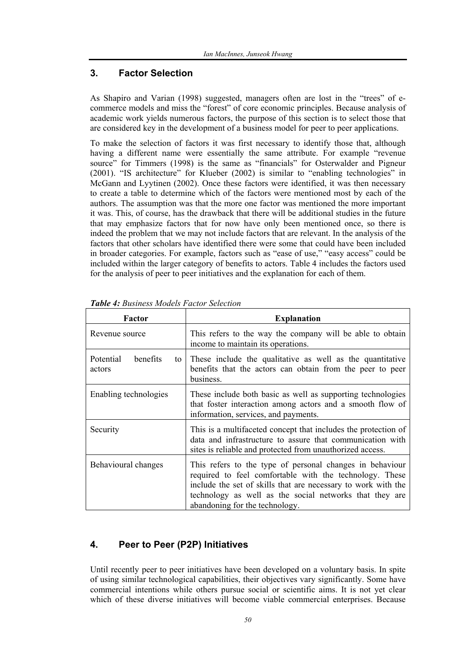## **3. Factor Selection**

As Shapiro and Varian (1998) suggested, managers often are lost in the "trees" of ecommerce models and miss the "forest" of core economic principles. Because analysis of academic work yields numerous factors, the purpose of this section is to select those that are considered key in the development of a business model for peer to peer applications.

To make the selection of factors it was first necessary to identify those that, although having a different name were essentially the same attribute. For example "revenue source" for Timmers (1998) is the same as "financials" for Osterwalder and Pigneur (2001). "IS architecture" for Klueber (2002) is similar to "enabling technologies" in McGann and Lyytinen (2002). Once these factors were identified, it was then necessary to create a table to determine which of the factors were mentioned most by each of the authors. The assumption was that the more one factor was mentioned the more important it was. This, of course, has the drawback that there will be additional studies in the future that may emphasize factors that for now have only been mentioned once, so there is indeed the problem that we may not include factors that are relevant. In the analysis of the factors that other scholars have identified there were some that could have been included in broader categories. For example, factors such as "ease of use," "easy access" could be included within the larger category of benefits to actors. Table 4 includes the factors used for the analysis of peer to peer initiatives and the explanation for each of them.

| Factor                                | <b>Explanation</b>                                                                                                                                                                                                                                                                |  |
|---------------------------------------|-----------------------------------------------------------------------------------------------------------------------------------------------------------------------------------------------------------------------------------------------------------------------------------|--|
| Revenue source                        | This refers to the way the company will be able to obtain<br>income to maintain its operations.                                                                                                                                                                                   |  |
| Potential<br>benefits<br>to<br>actors | These include the qualitative as well as the quantitative<br>benefits that the actors can obtain from the peer to peer<br>business.                                                                                                                                               |  |
| Enabling technologies                 | These include both basic as well as supporting technologies<br>that foster interaction among actors and a smooth flow of<br>information, services, and payments.                                                                                                                  |  |
| Security                              | This is a multifaceted concept that includes the protection of<br>data and infrastructure to assure that communication with<br>sites is reliable and protected from unauthorized access.                                                                                          |  |
| Behavioural changes                   | This refers to the type of personal changes in behaviour<br>required to feel comfortable with the technology. These<br>include the set of skills that are necessary to work with the<br>technology as well as the social networks that they are<br>abandoning for the technology. |  |

*Table 4: Business Models Factor Selection* 

## **4. Peer to Peer (P2P) Initiatives**

Until recently peer to peer initiatives have been developed on a voluntary basis. In spite of using similar technological capabilities, their objectives vary significantly. Some have commercial intentions while others pursue social or scientific aims. It is not yet clear which of these diverse initiatives will become viable commercial enterprises. Because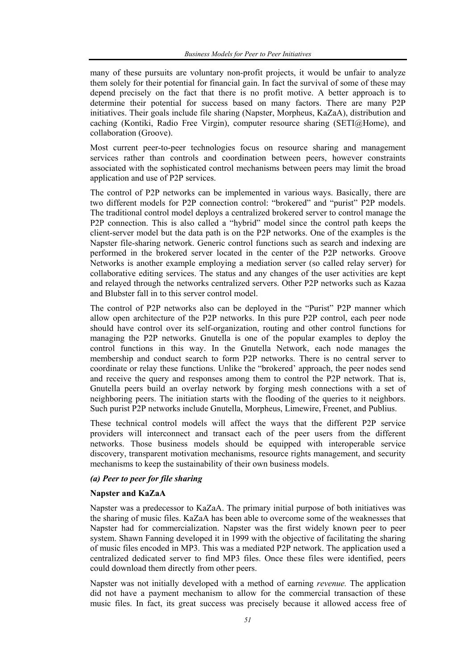many of these pursuits are voluntary non-profit projects, it would be unfair to analyze them solely for their potential for financial gain. In fact the survival of some of these may depend precisely on the fact that there is no profit motive. A better approach is to determine their potential for success based on many factors. There are many P2P initiatives. Their goals include file sharing (Napster, Morpheus, KaZaA), distribution and caching (Kontiki, Radio Free Virgin), computer resource sharing (SETI@Home), and collaboration (Groove).

Most current peer-to-peer technologies focus on resource sharing and management services rather than controls and coordination between peers, however constraints associated with the sophisticated control mechanisms between peers may limit the broad application and use of P2P services.

The control of P2P networks can be implemented in various ways. Basically, there are two different models for P2P connection control: "brokered" and "purist" P2P models. The traditional control model deploys a centralized brokered server to control manage the P2P connection. This is also called a "hybrid" model since the control path keeps the client-server model but the data path is on the P2P networks. One of the examples is the Napster file-sharing network. Generic control functions such as search and indexing are performed in the brokered server located in the center of the P2P networks. Groove Networks is another example employing a mediation server (so called relay server) for collaborative editing services. The status and any changes of the user activities are kept and relayed through the networks centralized servers. Other P2P networks such as Kazaa and Blubster fall in to this server control model.

The control of P2P networks also can be deployed in the "Purist" P2P manner which allow open architecture of the P2P networks. In this pure P2P control, each peer node should have control over its self-organization, routing and other control functions for managing the P2P networks. Gnutella is one of the popular examples to deploy the control functions in this way. In the Gnutella Network, each node manages the membership and conduct search to form P2P networks. There is no central server to coordinate or relay these functions. Unlike the "brokered' approach, the peer nodes send and receive the query and responses among them to control the P2P network. That is, Gnutella peers build an overlay network by forging mesh connections with a set of neighboring peers. The initiation starts with the flooding of the queries to it neighbors. Such purist P2P networks include Gnutella, Morpheus, Limewire, Freenet, and Publius.

These technical control models will affect the ways that the different P2P service providers will interconnect and transact each of the peer users from the different networks. Those business models should be equipped with interoperable service discovery, transparent motivation mechanisms, resource rights management, and security mechanisms to keep the sustainability of their own business models.

#### *(a) Peer to peer for file sharing*

#### **Napster and KaZaA**

Napster was a predecessor to KaZaA. The primary initial purpose of both initiatives was the sharing of music files. KaZaA has been able to overcome some of the weaknesses that Napster had for commercialization. Napster was the first widely known peer to peer system. Shawn Fanning developed it in 1999 with the objective of facilitating the sharing of music files encoded in MP3. This was a mediated P2P network. The application used a centralized dedicated server to find MP3 files. Once these files were identified, peers could download them directly from other peers.

Napster was not initially developed with a method of earning *revenue.* The application did not have a payment mechanism to allow for the commercial transaction of these music files. In fact, its great success was precisely because it allowed access free of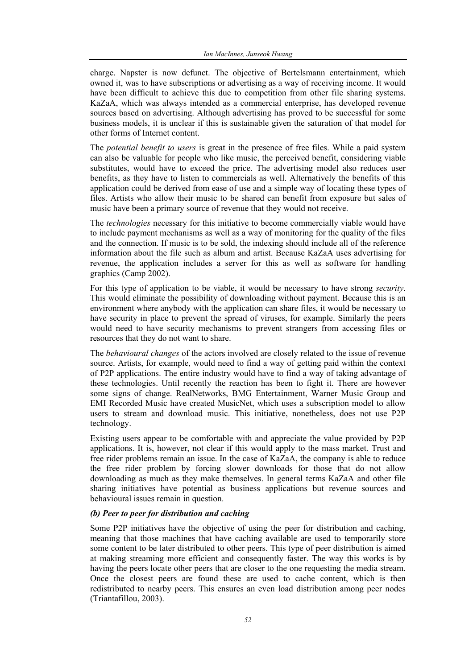charge. Napster is now defunct. The objective of Bertelsmann entertainment, which owned it, was to have subscriptions or advertising as a way of receiving income. It would have been difficult to achieve this due to competition from other file sharing systems. KaZaA, which was always intended as a commercial enterprise, has developed revenue sources based on advertising. Although advertising has proved to be successful for some business models, it is unclear if this is sustainable given the saturation of that model for other forms of Internet content.

The *potential benefit to users* is great in the presence of free files. While a paid system can also be valuable for people who like music, the perceived benefit, considering viable substitutes, would have to exceed the price. The advertising model also reduces user benefits, as they have to listen to commercials as well. Alternatively the benefits of this application could be derived from ease of use and a simple way of locating these types of files. Artists who allow their music to be shared can benefit from exposure but sales of music have been a primary source of revenue that they would not receive.

The *technologies* necessary for this initiative to become commercially viable would have to include payment mechanisms as well as a way of monitoring for the quality of the files and the connection. If music is to be sold, the indexing should include all of the reference information about the file such as album and artist. Because KaZaA uses advertising for revenue, the application includes a server for this as well as software for handling graphics (Camp 2002).

For this type of application to be viable, it would be necessary to have strong *security*. This would eliminate the possibility of downloading without payment. Because this is an environment where anybody with the application can share files, it would be necessary to have security in place to prevent the spread of viruses, for example. Similarly the peers would need to have security mechanisms to prevent strangers from accessing files or resources that they do not want to share.

The *behavioural changes* of the actors involved are closely related to the issue of revenue source. Artists, for example, would need to find a way of getting paid within the context of P2P applications. The entire industry would have to find a way of taking advantage of these technologies. Until recently the reaction has been to fight it. There are however some signs of change. RealNetworks, BMG Entertainment, Warner Music Group and EMI Recorded Music have created MusicNet, which uses a subscription model to allow users to stream and download music. This initiative, nonetheless, does not use P2P technology.

Existing users appear to be comfortable with and appreciate the value provided by P2P applications. It is, however, not clear if this would apply to the mass market. Trust and free rider problems remain an issue. In the case of KaZaA, the company is able to reduce the free rider problem by forcing slower downloads for those that do not allow downloading as much as they make themselves. In general terms KaZaA and other file sharing initiatives have potential as business applications but revenue sources and behavioural issues remain in question.

#### *(b) Peer to peer for distribution and caching*

Some P2P initiatives have the objective of using the peer for distribution and caching, meaning that those machines that have caching available are used to temporarily store some content to be later distributed to other peers. This type of peer distribution is aimed at making streaming more efficient and consequently faster. The way this works is by having the peers locate other peers that are closer to the one requesting the media stream. Once the closest peers are found these are used to cache content, which is then redistributed to nearby peers. This ensures an even load distribution among peer nodes (Triantafillou, 2003).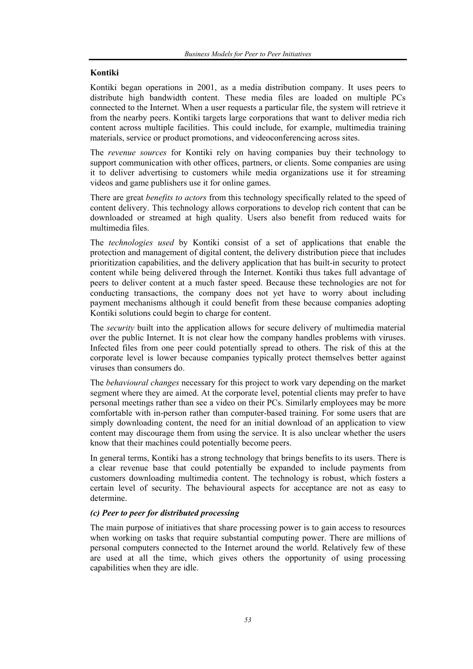#### **Kontiki**

Kontiki began operations in 2001, as a media distribution company. It uses peers to distribute high bandwidth content. These media files are loaded on multiple PCs connected to the Internet. When a user requests a particular file, the system will retrieve it from the nearby peers. Kontiki targets large corporations that want to deliver media rich content across multiple facilities. This could include, for example, multimedia training materials, service or product promotions, and videoconferencing across sites.

The *revenue sources* for Kontiki rely on having companies buy their technology to support communication with other offices, partners, or clients. Some companies are using it to deliver advertising to customers while media organizations use it for streaming videos and game publishers use it for online games.

There are great *benefits to actors* from this technology specifically related to the speed of content delivery. This technology allows corporations to develop rich content that can be downloaded or streamed at high quality. Users also benefit from reduced waits for multimedia files.

The *technologies used* by Kontiki consist of a set of applications that enable the protection and management of digital content, the delivery distribution piece that includes prioritization capabilities, and the delivery application that has built-in security to protect content while being delivered through the Internet. Kontiki thus takes full advantage of peers to deliver content at a much faster speed. Because these technologies are not for conducting transactions, the company does not yet have to worry about including payment mechanisms although it could benefit from these because companies adopting Kontiki solutions could begin to charge for content.

The *security* built into the application allows for secure delivery of multimedia material over the public Internet. It is not clear how the company handles problems with viruses. Infected files from one peer could potentially spread to others. The risk of this at the corporate level is lower because companies typically protect themselves better against viruses than consumers do.

The *behavioural changes* necessary for this project to work vary depending on the market segment where they are aimed. At the corporate level, potential clients may prefer to have personal meetings rather than see a video on their PCs. Similarly employees may be more comfortable with in-person rather than computer-based training. For some users that are simply downloading content, the need for an initial download of an application to view content may discourage them from using the service. It is also unclear whether the users know that their machines could potentially become peers.

In general terms, Kontiki has a strong technology that brings benefits to its users. There is a clear revenue base that could potentially be expanded to include payments from customers downloading multimedia content. The technology is robust, which fosters a certain level of security. The behavioural aspects for acceptance are not as easy to determine.

#### *(c) Peer to peer for distributed processing*

The main purpose of initiatives that share processing power is to gain access to resources when working on tasks that require substantial computing power. There are millions of personal computers connected to the Internet around the world. Relatively few of these are used at all the time, which gives others the opportunity of using processing capabilities when they are idle.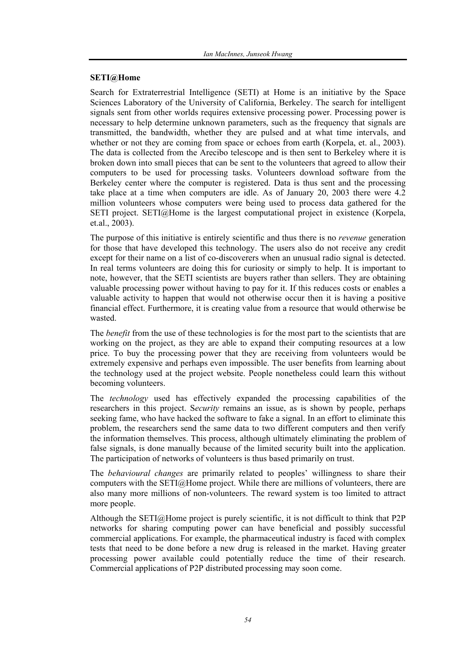#### **SETI@Home**

Search for Extraterrestrial Intelligence (SETI) at Home is an initiative by the Space Sciences Laboratory of the University of California, Berkeley. The search for intelligent signals sent from other worlds requires extensive processing power. Processing power is necessary to help determine unknown parameters, such as the frequency that signals are transmitted, the bandwidth, whether they are pulsed and at what time intervals, and whether or not they are coming from space or echoes from earth (Korpela, et. al., 2003). The data is collected from the Arecibo telescope and is then sent to Berkeley where it is broken down into small pieces that can be sent to the volunteers that agreed to allow their computers to be used for processing tasks. Volunteers download software from the Berkeley center where the computer is registered. Data is thus sent and the processing take place at a time when computers are idle. As of January 20, 2003 there were 4.2 million volunteers whose computers were being used to process data gathered for the SETI project. SETI@Home is the largest computational project in existence (Korpela, et.al., 2003).

The purpose of this initiative is entirely scientific and thus there is no *revenue* generation for those that have developed this technology. The users also do not receive any credit except for their name on a list of co-discoverers when an unusual radio signal is detected. In real terms volunteers are doing this for curiosity or simply to help. It is important to note, however, that the SETI scientists are buyers rather than sellers. They are obtaining valuable processing power without having to pay for it. If this reduces costs or enables a valuable activity to happen that would not otherwise occur then it is having a positive financial effect. Furthermore, it is creating value from a resource that would otherwise be wasted.

The *benefit* from the use of these technologies is for the most part to the scientists that are working on the project, as they are able to expand their computing resources at a low price. To buy the processing power that they are receiving from volunteers would be extremely expensive and perhaps even impossible. The user benefits from learning about the technology used at the project website. People nonetheless could learn this without becoming volunteers.

The *technology* used has effectively expanded the processing capabilities of the researchers in this project. S*ecurity* remains an issue, as is shown by people, perhaps seeking fame, who have hacked the software to fake a signal. In an effort to eliminate this problem, the researchers send the same data to two different computers and then verify the information themselves. This process, although ultimately eliminating the problem of false signals, is done manually because of the limited security built into the application. The participation of networks of volunteers is thus based primarily on trust.

The *behavioural changes* are primarily related to peoples' willingness to share their computers with the SETI@Home project. While there are millions of volunteers, there are also many more millions of non-volunteers. The reward system is too limited to attract more people.

Although the SETI@Home project is purely scientific, it is not difficult to think that P2P networks for sharing computing power can have beneficial and possibly successful commercial applications. For example, the pharmaceutical industry is faced with complex tests that need to be done before a new drug is released in the market. Having greater processing power available could potentially reduce the time of their research. Commercial applications of P2P distributed processing may soon come.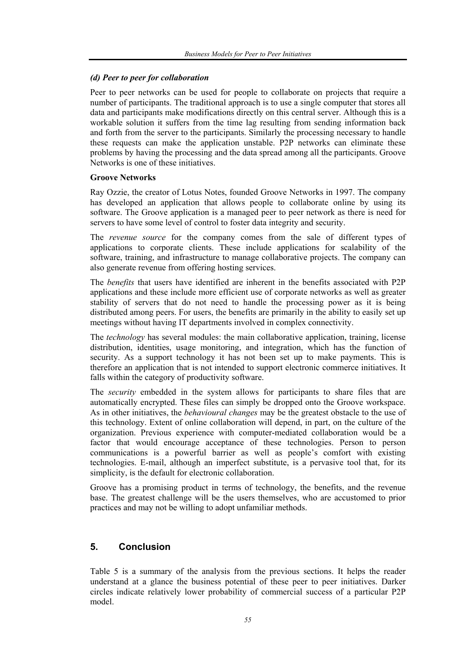#### *(d) Peer to peer for collaboration*

Peer to peer networks can be used for people to collaborate on projects that require a number of participants. The traditional approach is to use a single computer that stores all data and participants make modifications directly on this central server. Although this is a workable solution it suffers from the time lag resulting from sending information back and forth from the server to the participants. Similarly the processing necessary to handle these requests can make the application unstable. P2P networks can eliminate these problems by having the processing and the data spread among all the participants. Groove Networks is one of these initiatives.

#### **Groove Networks**

Ray Ozzie, the creator of Lotus Notes, founded Groove Networks in 1997. The company has developed an application that allows people to collaborate online by using its software. The Groove application is a managed peer to peer network as there is need for servers to have some level of control to foster data integrity and security.

The *revenue source* for the company comes from the sale of different types of applications to corporate clients. These include applications for scalability of the software, training, and infrastructure to manage collaborative projects. The company can also generate revenue from offering hosting services.

The *benefits* that users have identified are inherent in the benefits associated with P2P applications and these include more efficient use of corporate networks as well as greater stability of servers that do not need to handle the processing power as it is being distributed among peers. For users, the benefits are primarily in the ability to easily set up meetings without having IT departments involved in complex connectivity.

The *technology* has several modules: the main collaborative application, training, license distribution, identities, usage monitoring, and integration, which has the function of security. As a support technology it has not been set up to make payments. This is therefore an application that is not intended to support electronic commerce initiatives. It falls within the category of productivity software.

The *security* embedded in the system allows for participants to share files that are automatically encrypted. These files can simply be dropped onto the Groove workspace. As in other initiatives, the *behavioural changes* may be the greatest obstacle to the use of this technology. Extent of online collaboration will depend, in part, on the culture of the organization. Previous experience with computer-mediated collaboration would be a factor that would encourage acceptance of these technologies. Person to person communications is a powerful barrier as well as people's comfort with existing technologies. E-mail, although an imperfect substitute, is a pervasive tool that, for its simplicity, is the default for electronic collaboration.

Groove has a promising product in terms of technology, the benefits, and the revenue base. The greatest challenge will be the users themselves, who are accustomed to prior practices and may not be willing to adopt unfamiliar methods.

## **5. Conclusion**

Table 5 is a summary of the analysis from the previous sections. It helps the reader understand at a glance the business potential of these peer to peer initiatives. Darker circles indicate relatively lower probability of commercial success of a particular P2P model.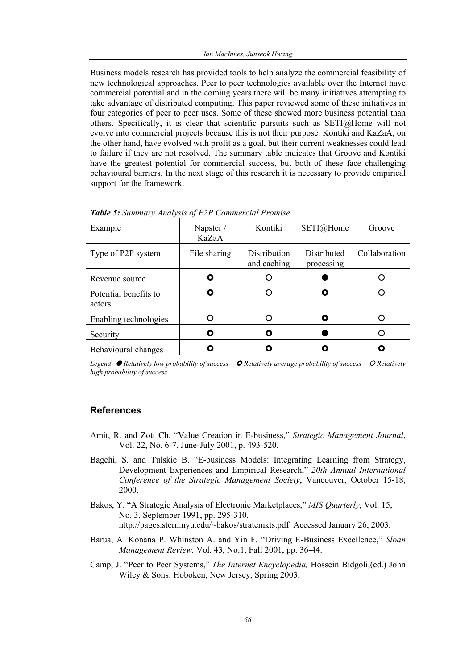Business models research has provided tools to help analyze the commercial feasibility of new technological approaches. Peer to peer technologies available over the Internet have commercial potential and in the coming years there will be many initiatives attempting to take advantage of distributed computing. This paper reviewed some of these initiatives in four categories of peer to peer uses. Some of these showed more business potential than others. Specifically, it is clear that scientific pursuits such as SETI@Home will not evolve into commercial projects because this is not their purpose. Kontiki and KaZaA, on the other hand, have evolved with profit as a goal, but their current weaknesses could lead to failure if they are not resolved. The summary table indicates that Groove and Kontiki have the greatest potential for commercial success, but both of these face challenging behavioural barriers. In the next stage of this research it is necessary to provide empirical support for the framework.

| Example                         | Napster /<br>KaZaA | Kontiki                     | SETI@Home                 | Groove        |
|---------------------------------|--------------------|-----------------------------|---------------------------|---------------|
| Type of P2P system              | File sharing       | Distribution<br>and caching | Distributed<br>processing | Collaboration |
| Revenue source                  | О                  |                             |                           |               |
| Potential benefits to<br>actors | Ω                  |                             | O                         |               |
| Enabling technologies           |                    | ∩                           | O                         |               |
| Security                        | Ο                  | О                           |                           |               |
| Behavioural changes             |                    |                             |                           |               |

*Table 5: Summary Analysis of P2P Commercial Promise* 

*Legend:* ● *Relatively low probability of success* ● *Relatively average probability of success* ● *Relatively high probability of success* 

#### **References**

- Amit, R. and Zott Ch. "Value Creation in E-business," *Strategic Management Journal*, Vol. 22, No. 6-7, June-July 2001, p. 493-520.
- Bagchi, S. and Tulskie B. "E-business Models: Integrating Learning from Strategy, Development Experiences and Empirical Research," *20th Annual International Conference of the Strategic Management Society*, Vancouver, October 15-18, 2000.
- Bakos, Y. "A Strategic Analysis of Electronic Marketplaces," *MIS Quarterly*, Vol. 15, No. 3, September 1991, pp. 295-310. http://pages.stern.nyu.edu/~bakos/stratemkts.pdf. Accessed January 26, 2003.
- Barua, A. Konana P. Whinston A. and Yin F. "Driving E-Business Excellence," *Sloan Management Review,* Vol. 43, No.1, Fall 2001, pp. 36-44.
- Camp, J. "Peer to Peer Systems," *The Internet Encyclopedia,* Hossein Bidgoli,(ed.) John Wiley & Sons: Hoboken, New Jersey, Spring 2003.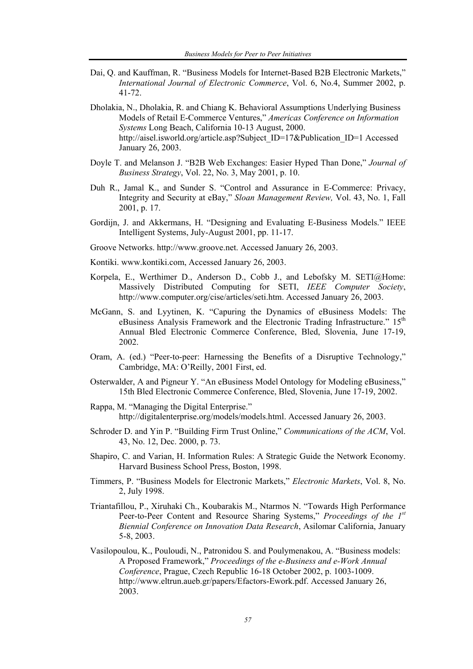- Dai, Q. and Kauffman, R. "Business Models for Internet-Based B2B Electronic Markets," *International Journal of Electronic Commerce*, Vol. 6, No.4, Summer 2002, p. 41-72.
- Dholakia, N., Dholakia, R. and Chiang K. Behavioral Assumptions Underlying Business Models of Retail E-Commerce Ventures," *Americas Conference on Information Systems* Long Beach, California 10-13 August, 2000. http://aisel.isworld.org/article.asp?Subject\_ID=17&Publication\_ID=1 Accessed January 26, 2003.
- Doyle T. and Melanson J. "B2B Web Exchanges: Easier Hyped Than Done," *Journal of Business Strategy*, Vol. 22, No. 3, May 2001, p. 10.
- Duh R., Jamal K., and Sunder S. "Control and Assurance in E-Commerce: Privacy, Integrity and Security at eBay," *Sloan Management Review,* Vol. 43, No. 1, Fall 2001, p. 17.
- Gordijn, J. and Akkermans, H. "Designing and Evaluating E-Business Models." IEEE Intelligent Systems, July-August 2001, pp. 11-17.
- Groove Networks. http://www.groove.net. Accessed January 26, 2003.
- Kontiki. www.kontiki.com, Accessed January 26, 2003.
- Korpela, E., Werthimer D., Anderson D., Cobb J., and Lebofsky M. SETI@Home: Massively Distributed Computing for SETI, *IEEE Computer Society*, http://www.computer.org/cise/articles/seti.htm. Accessed January 26, 2003.
- McGann, S. and Lyytinen, K. "Capuring the Dynamics of eBusiness Models: The eBusiness Analysis Framework and the Electronic Trading Infrastructure." 15<sup>th</sup> Annual Bled Electronic Commerce Conference, Bled, Slovenia, June 17-19, 2002.
- Oram, A. (ed.) "Peer-to-peer: Harnessing the Benefits of a Disruptive Technology," Cambridge, MA: O'Reilly, 2001 First, ed.
- Osterwalder, A and Pigneur Y. "An eBusiness Model Ontology for Modeling eBusiness," 15th Bled Electronic Commerce Conference, Bled, Slovenia, June 17-19, 2002.
- Rappa, M. "Managing the Digital Enterprise." http://digitalenterprise.org/models/models.html. Accessed January 26, 2003.
- Schroder D. and Yin P. "Building Firm Trust Online," *Communications of the ACM*, Vol. 43, No. 12, Dec. 2000, p. 73.
- Shapiro, C. and Varian, H. Information Rules: A Strategic Guide the Network Economy. Harvard Business School Press, Boston, 1998.
- Timmers, P. "Business Models for Electronic Markets," *Electronic Markets*, Vol. 8, No. 2, July 1998.
- Triantafillou, P., Xiruhaki Ch., Koubarakis M., Ntarmos N. "Towards High Performance Peer-to-Peer Content and Resource Sharing Systems," *Proceedings of the 1st Biennial Conference on Innovation Data Research*, Asilomar California, January 5-8, 2003.
- Vasilopoulou, K., Pouloudi, N., Patronidou S. and Poulymenakou, A. "Business models: A Proposed Framework," *Proceedings of the e-Business and e-Work Annual Conference*, Prague, Czech Republic 16-18 October 2002, p. 1003-1009. http://www.eltrun.aueb.gr/papers/Efactors-Ework.pdf. Accessed January 26, 2003.